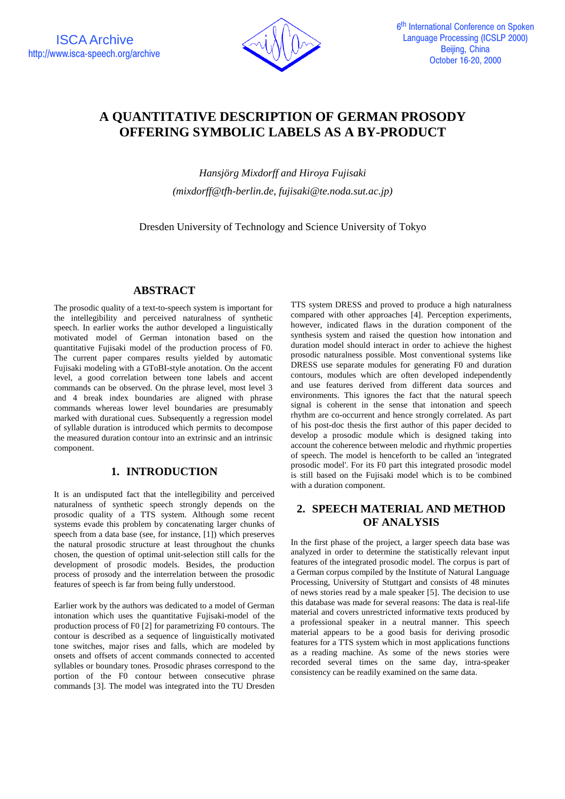

# **A QUANTITATIVE DESCRIPTION OF GERMAN PROSODY OFFERING SYMBOLIC LABELS AS A BY-PRODUCT**

*Hansjörg Mixdorff and Hiroya Fujisaki (mixdorff@tfh-berlin.de, fujisaki@te.noda.sut.ac.jp)*

Dresden University of Technology and Science University of Tokyo

### **ABSTRACT**

The prosodic quality of a text-to-speech system is important for the intellegibility and perceived naturalness of synthetic speech. In earlier works the author developed a linguistically motivated model of German intonation based on the quantitative Fujisaki model of the production process of F0. The current paper compares results yielded by automatic Fujisaki modeling with a GToBI-style anotation. On the accent level, a good correlation between tone labels and accent commands can be observed. On the phrase level, most level 3 and 4 break index boundaries are aligned with phrase commands whereas lower level boundaries are presumably marked with durational cues. Subsequently a regression model of syllable duration is introduced which permits to decompose the measured duration contour into an extrinsic and an intrinsic component.

### **1. INTRODUCTION**

It is an undisputed fact that the intellegibility and perceived naturalness of synthetic speech strongly depends on the prosodic quality of a TTS system. Although some recent systems evade this problem by concatenating larger chunks of speech from a data base (see, for instance, [1]) which preserves the natural prosodic structure at least throughout the chunks chosen, the question of optimal unit-selection still calls for the development of prosodic models. Besides, the production process of prosody and the interrelation between the prosodic features of speech is far from being fully understood.

Earlier work by the authors was dedicated to a model of German intonation which uses the quantitative Fujisaki-model of the production process of F0 [2] for parametrizing F0 contours. The contour is described as a sequence of linguistically motivated tone switches, major rises and falls, which are modeled by onsets and offsets of accent commands connected to accented syllables or boundary tones. Prosodic phrases correspond to the portion of the F0 contour between consecutive phrase commands [3]. The model was integrated into the TU Dresden TTS system DRESS and proved to produce a high naturalness compared with other approaches [4]. Perception experiments, however, indicated flaws in the duration component of the synthesis system and raised the question how intonation and duration model should interact in order to achieve the highest prosodic naturalness possible. Most conventional systems like DRESS use separate modules for generating F0 and duration contours, modules which are often developed independently and use features derived from different data sources and environments. This ignores the fact that the natural speech signal is coherent in the sense that intonation and speech rhythm are co-occurrent and hence strongly correlated. As part of his post-doc thesis the first author of this paper decided to develop a prosodic module which is designed taking into account the coherence between melodic and rhythmic properties of speech. The model is henceforth to be called an 'integrated prosodic model'. For its F0 part this integrated prosodic model is still based on the Fujisaki model which is to be combined with a duration component.

## **2. SPEECH MATERIAL AND METHOD OF ANALYSIS**

In the first phase of the project, a larger speech data base was analyzed in order to determine the statistically relevant input features of the integrated prosodic model. The corpus is part of a German corpus compiled by the Institute of Natural Language Processing, University of Stuttgart and consists of 48 minutes of news stories read by a male speaker [5]. The decision to use this database was made for several reasons: The data is real-life material and covers unrestricted informative texts produced by a professional speaker in a neutral manner. This speech material appears to be a good basis for deriving prosodic features for a TTS system which in most applications functions as a reading machine. As some of the news stories were recorded several times on the same day, intra-speaker consistency can be readily examined on the same data.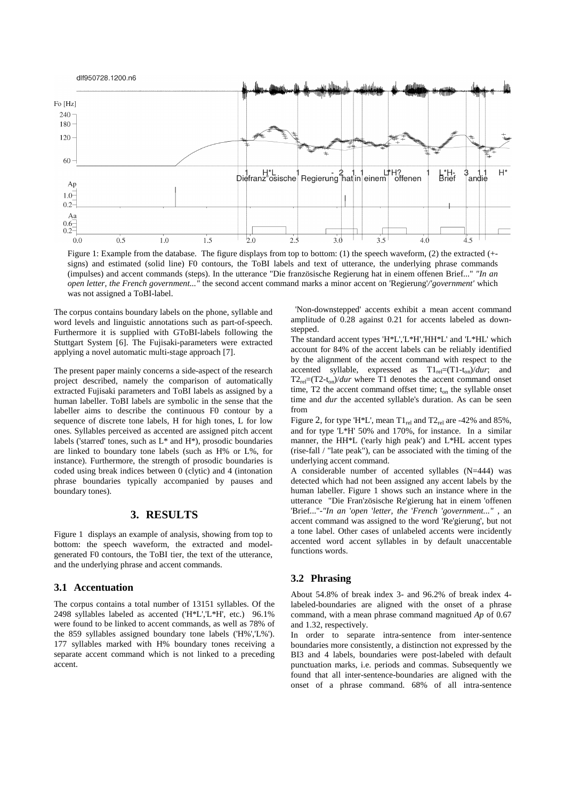

Figure 1: Example from the database. The figure displays from top to bottom: (1) the speech waveform, (2) the extracted (+signs) and estimated (solid line) F0 contours, the ToBI labels and text of utterance, the underlying phrase commands (impulses) and accent commands (steps). In the utterance "Die französische Regierung hat in einem offenen Brief..." *"In an open letter, the French government..."* the second accent command marks a minor accent on 'Regierung'*/'government'* which was not assigned a ToBI-label.

The corpus contains boundary labels on the phone, syllable and word levels and linguistic annotations such as part-of-speech. Furthermore it is supplied with GToBI-labels following the Stuttgart System [6]. The Fujisaki-parameters were extracted applying a novel automatic multi-stage approach [7].

The present paper mainly concerns a side-aspect of the research project described, namely the comparison of automatically extracted Fujisaki parameters and ToBI labels as assigned by a human labeller. ToBI labels are symbolic in the sense that the labeller aims to describe the continuous F0 contour by a sequence of discrete tone labels, H for high tones, L for low ones. Syllables perceived as accented are assigned pitch accent labels ('starred' tones, such as L\* and H\*), prosodic boundaries are linked to boundary tone labels (such as H% or L%, for instance). Furthermore, the strength of prosodic boundaries is coded using break indices between 0 (clytic) and 4 (intonation phrase boundaries typically accompanied by pauses and boundary tones).

### **3. RESULTS**

Figure 1 displays an example of analysis, showing from top to bottom: the speech waveform, the extracted and modelgenerated F0 contours, the ToBI tier, the text of the utterance, and the underlying phrase and accent commands.

#### **3.1 Accentuation**

The corpus contains a total number of 13151 syllables. Of the 2498 syllables labeled as accented ('H\*L','L\*H', etc.) 96.1% were found to be linked to accent commands, as well as 78% of the 859 syllables assigned boundary tone labels ('H%','L%'). 177 syllables marked with H% boundary tones receiving a separate accent command which is not linked to a preceding accent.

 'Non-downstepped' accents exhibit a mean accent command amplitude of 0.28 against 0.21 for accents labeled as downstepped.

The standard accent types 'H\*L','L\*H','HH\*L' and 'L\*HL' which account for 84% of the accent labels can be reliably identified by the alignment of the accent command with respect to the accented syllable, expressed as  $T1_{\text{rel}} = (T1-t_{\text{on}})/dur$ ; and  $T2_{\text{rel}}=(T2-t_{\text{on}})/dur$  where T1 denotes the accent command onset time,  $T2$  the accent command offset time;  $t_{on}$  the syllable onset time and *dur* the accented syllable's duration. As can be seen from

Figure 2, for type 'H\*L', mean  $T1_{rel}$  and  $T2_{rel}$  are -42% and 85%, and for type 'L\*H' 50% and 170%, for instance. In a similar manner, the HH\*L ('early high peak') and L\*HL accent types (rise-fall / "late peak"), can be associated with the timing of the underlying accent command.

A considerable number of accented syllables (N=444) was detected which had not been assigned any accent labels by the human labeller. Figure 1 shows such an instance where in the utterance "Die Fran'zösische Re'gierung hat in einem 'offenen 'Brief..."-*"In an* '*open* '*letter, the* '*French* '*government..."* , an accent command was assigned to the word 'Re'gierung', but not a tone label. Other cases of unlabeled accents were incidently accented word accent syllables in by default unaccentable functions words.

#### **3.2 Phrasing**

About 54.8% of break index 3- and 96.2% of break index 4 labeled-boundaries are aligned with the onset of a phrase command, with a mean phrase command magnitued *Ap* of 0.67 and 1.32, respectively.

In order to separate intra-sentence from inter-sentence boundaries more consistently, a distinction not expressed by the BI3 and 4 labels, boundaries were post-labeled with default punctuation marks, i.e. periods and commas. Subsequently we found that all inter-sentence-boundaries are aligned with the onset of a phrase command. 68% of all intra-sentence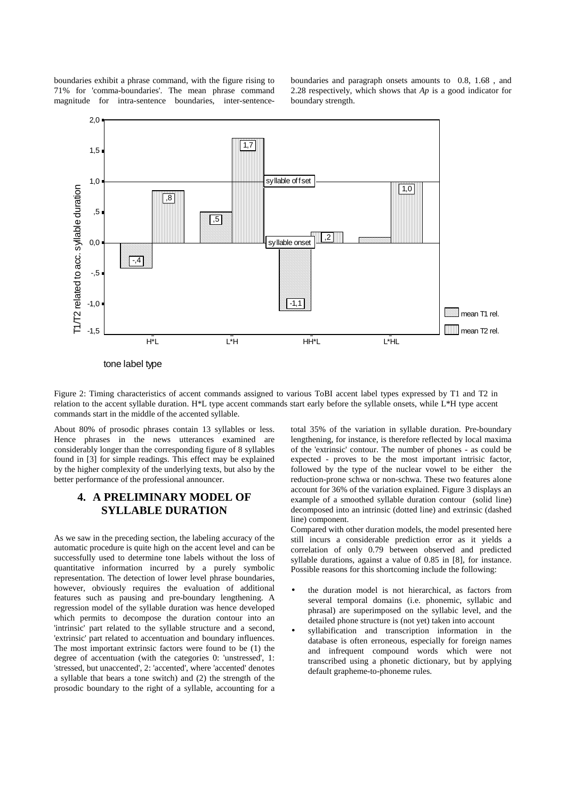boundaries exhibit a phrase command, with the figure rising to 71% for 'comma-boundaries'. The mean phrase command magnitude for intra-sentence boundaries, inter-sentenceboundaries and paragraph onsets amounts to 0.8, 1.68 , and 2.28 respectively, which shows that *Ap* is a good indicator for boundary strength.



Figure 2: Timing characteristics of accent commands assigned to various ToBI accent label types expressed by T1 and T2 in relation to the accent syllable duration. H\*L type accent commands start early before the syllable onsets, while L\*H type accent commands start in the middle of the accented syllable.

About 80% of prosodic phrases contain 13 syllables or less. Hence phrases in the news utterances examined are considerably longer than the corresponding figure of 8 syllables found in [3] for simple readings. This effect may be explained by the higher complexity of the underlying texts, but also by the better performance of the professional announcer.

# **4. A PRELIMINARY MODEL OF SYLLABLE DURATION**

As we saw in the preceding section, the labeling accuracy of the automatic procedure is quite high on the accent level and can be successfully used to determine tone labels without the loss of quantitative information incurred by a purely symbolic representation. The detection of lower level phrase boundaries, however, obviously requires the evaluation of additional features such as pausing and pre-boundary lengthening. A regression model of the syllable duration was hence developed which permits to decompose the duration contour into an 'intrinsic' part related to the syllable structure and a second, 'extrinsic' part related to accentuation and boundary influences. The most important extrinsic factors were found to be (1) the degree of accentuation (with the categories 0: 'unstressed', 1: 'stressed, but unaccented', 2: 'accented', where 'accented' denotes a syllable that bears a tone switch) and (2) the strength of the prosodic boundary to the right of a syllable, accounting for a

total 35% of the variation in syllable duration. Pre-boundary lengthening, for instance, is therefore reflected by local maxima of the 'extrinsic' contour. The number of phones - as could be expected - proves to be the most important intrisic factor, followed by the type of the nuclear vowel to be either the reduction-prone schwa or non-schwa. These two features alone account for 36% of the variation explained. Figure 3 displays an example of a smoothed syllable duration contour (solid line) decomposed into an intrinsic (dotted line) and extrinsic (dashed line) component.

Compared with other duration models, the model presented here still incurs a considerable prediction error as it yields a correlation of only 0.79 between observed and predicted syllable durations, against a value of 0.85 in [8], for instance. Possible reasons for this shortcoming include the following:

- the duration model is not hierarchical, as factors from several temporal domains (i.e. phonemic, syllabic and phrasal) are superimposed on the syllabic level, and the detailed phone structure is (not yet) taken into account
- syllabification and transcription information in the database is often erroneous, especially for foreign names and infrequent compound words which were not transcribed using a phonetic dictionary, but by applying default grapheme-to-phoneme rules.